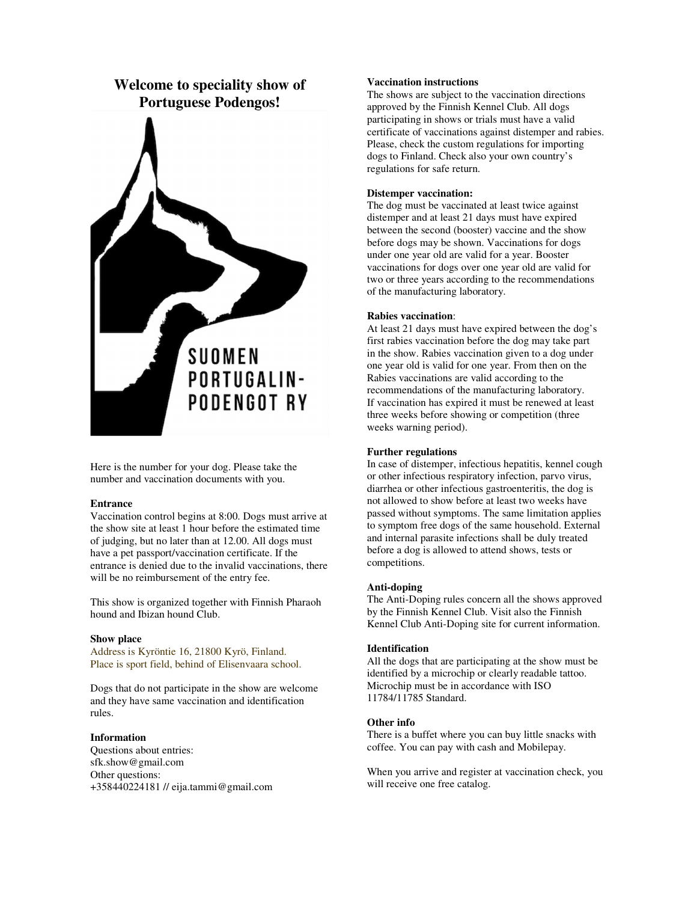

Here is the number for your dog. Please take the number and vaccination documents with you.

### **Entrance**

Vaccination control begins at 8:00. Dogs must arrive at the show site at least 1 hour before the estimated time of judging, but no later than at 12.00. All dogs must have a pet passport/vaccination certificate. If the entrance is denied due to the invalid vaccinations, there will be no reimbursement of the entry fee.

This show is organized together with Finnish Pharaoh hound and Ibizan hound Club.

## **Show place**

Address is Kyröntie 16, 21800 Kyrö, Finland. Place is sport field, behind of Elisenvaara school.

Dogs that do not participate in the show are welcome and they have same vaccination and identification rules.

# **Information**

Questions about entries: sfk.show@gmail.com Other questions: +358440224181 // eija.tammi@gmail.com

### **Vaccination instructions**

The shows are subject to the vaccination directions approved by the Finnish Kennel Club. All dogs participating in shows or trials must have a valid certificate of vaccinations against distemper and rabies. Please, check the custom regulations for importing dogs to Finland. Check also your own country's regulations for safe return.

# **Distemper vaccination:**

The dog must be vaccinated at least twice against distemper and at least 21 days must have expired between the second (booster) vaccine and the show before dogs may be shown. Vaccinations for dogs under one year old are valid for a year. Booster vaccinations for dogs over one year old are valid for two or three years according to the recommendations of the manufacturing laboratory.

#### **Rabies vaccination**:

At least 21 days must have expired between the dog's first rabies vaccination before the dog may take part in the show. Rabies vaccination given to a dog under one year old is valid for one year. From then on the Rabies vaccinations are valid according to the recommendations of the manufacturing laboratory. If vaccination has expired it must be renewed at least three weeks before showing or competition (three weeks warning period).

# **Further regulations**

In case of distemper, infectious hepatitis, kennel cough or other infectious respiratory infection, parvo virus, diarrhea or other infectious gastroenteritis, the dog is not allowed to show before at least two weeks have passed without symptoms. The same limitation applies to symptom free dogs of the same household. External and internal parasite infections shall be duly treated before a dog is allowed to attend shows, tests or competitions.

### **Anti-doping**

The Anti-Doping rules concern all the shows approved by the Finnish Kennel Club. Visit also the Finnish Kennel Club Anti-Doping site for current information.

#### **Identification**

All the dogs that are participating at the show must be identified by a microchip or clearly readable tattoo. Microchip must be in accordance with ISO 11784/11785 Standard.

#### **Other info**

There is a buffet where you can buy little snacks with coffee. You can pay with cash and Mobilepay.

When you arrive and register at vaccination check, you will receive one free catalog.